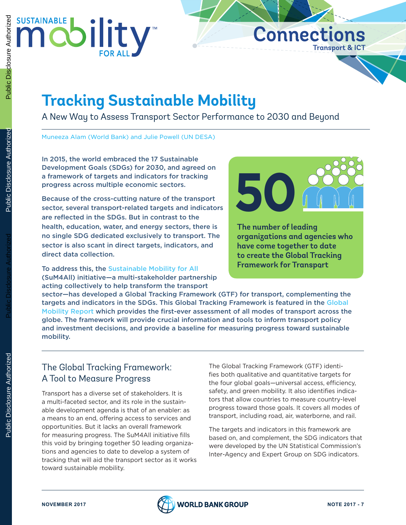

# **Tracking Sustainable Mobility**

A New Way to Assess Transport Sector Performance to 2030 and Beyond

Muneeza Alam (World Bank) and Julie Powell (UN DESA)

In 2015, the world embraced the 17 Sustainable Development Goals (SDGs) for 2030, and agreed on a framework of targets and indicators for tracking progress across multiple economic sectors.

Because of the cross-cutting nature of the transport sector, several transport-related targets and indicators are reflected in the SDGs. But in contrast to the health, education, water, and energy sectors, there is no single SDG dedicated exclusively to transport. The sector is also scant in direct targets, indicators, and direct data collection.

To address this, the [Sustainable Mobility for All](http://www.sum4all.org/) (SuM4All) initiative—a multi-stakeholder partnership acting collectively to help transform the transport



**Transport** & **ICT**

**Connections**

**The number of leading organizations and agencies who have come together to date to create the Global Tracking Framework for Transport**

sector—has developed a Global Tracking Framework (GTF) for transport, complementing the targets and indicators in the SDGs. This [Global](http://www.sum4all.org/publications/global-mobility-report-2017) Tracking Framework is featured in the Global [Mobility Report](http://www.sum4all.org/publications/global-mobility-report-2017) which provides the first-ever assessment of all modes of transport across the globe. The framework will provide crucial information and tools to inform transport policy and investment decisions, and provide a baseline for measuring progress toward sustainable mobility.

# The Global Tracking Framework: A Tool to Measure Progress

Transport has a diverse set of stakeholders. It is a multi-faceted sector, and its role in the sustainable development agenda is that of an enabler: as a means to an end, offering access to services and opportunities. But it lacks an overall framework for measuring progress. The SuM4All initiative fills this void by bringing together 50 leading organizations and agencies to date to develop a system of tracking that will aid the transport sector as it works toward sustainable mobility.

The Global Tracking Framework (GTF) identifies both qualitative and quantitative targets for the four global goals—universal access, efficiency, safety, and green mobility. It also identifies indicators that allow countries to measure country-level progress toward those goals. It covers all modes of transport, including road, air, waterborne, and rail.

The targets and indicators in this framework are based on, and complement, the SDG indicators that were developed by the UN Statistical Commission's Inter-Agency and Expert Group on SDG indicators.